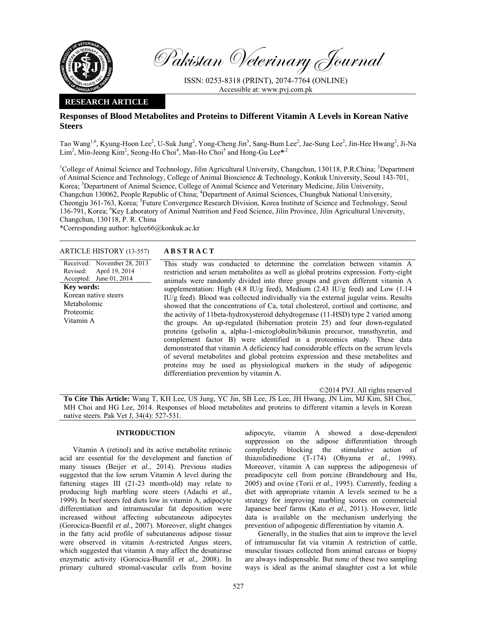

Pakistan Veterinary Journal

ISSN: 0253-8318 (PRINT), 2074-7764 (ONLINE) Accessible at: www.pvj.com.pk

## **RESEARCH ARTICLE**

# **Responses of Blood Metabolites and Proteins to Different Vitamin A Levels in Korean Native Steers**

Tao Wang<sup>1,6</sup>, Kyung-Hoon Lee<sup>2</sup>, U-Suk Jung<sup>2</sup>, Yong-Cheng Jin<sup>3</sup>, Sang-Bum Lee<sup>2</sup>, Jae-Sung Lee<sup>2</sup>, Jin-Hee Hwang<sup>2</sup>, Ji-Na Lim<sup>2</sup>, Min-Jeong Kim<sup>2</sup>, Seong-Ho Choi<sup>4</sup>, Man-Ho Choi<sup>5</sup> and Hong-Gu Lee<sup>\*,2</sup>

<sup>1</sup>College of Animal Science and Technology, Jilin Agricultural University, Changchun, 130118, P.R.China; <sup>2</sup>Department of Animal Science and Technology, College of Animal Bioscience & Technology, Konkuk University, Seoul 143-701, Korea; <sup>3</sup>Department of Animal Science, College of Animal Science and Veterinary Medicine, Jilin University, Changchun 130062, People Republic of China; <sup>4</sup>Department of Animal Sciences, Chungbuk National University, Cheongju 361-763, Korea; <sup>5</sup>Future Convergence Research Division, Korea Institute of Science and Technology, Seoul 136-791, Korea; <sup>6</sup>Key Laboratory of Animal Nutrition and Feed Science, Jilin Province, Jilin Agricultural University, Changchun, 130118, P. R. China

\*Corresponding author: hglee66@konkuk.ac.kr

### ARTICLE HISTORY (13-557) **ABSTRACT**

Received: Revised: Accepted: November 28, 2013 April 19, 2014 June 01, 2014 **Key words:**  Korean native steers Metabolomic Proteomic Vitamin A

 This study was conducted to determine the correlation between vitamin A restriction and serum metabolites as well as global proteins expression. Forty-eight animals were randomly divided into three groups and given different vitamin A supplementation: High (4.8 IU/g feed), Medium (2.43 IU/g feed) and Low (1.14 IU/g feed). Blood was collected individually via the external jugular veins. Results showed that the concentrations of Ca, total cholesterol, cortisol and cortisone, and the activity of 11beta-hydroxysteroid dehydrogenase (11-HSD) type 2 varied among the groups. An up-regulated (hibernation protein 25) and four down-regulated proteins (gelsolin a, alpha-1-microglobulin/bikunin precursor, transthyretin, and complement factor B) were identified in a proteomics study. These data demonstrated that vitamin A deficiency had considerable effects on the serum levels of several metabolites and global proteins expression and these metabolites and proteins may be used as physiological markers in the study of adipogenic differentiation prevention by vitamin A.

©2014 PVJ. All rights reserved

**To Cite This Article:** Wang T, KH Lee, US Jung, YC Jin, SB Lee, JS Lee, JH Hwang, JN Lim, MJ Kim, SH Choi, MH Choi and HG Lee, 2014. Responses of blood metabolites and proteins to different vitamin a levels in Korean native steers. Pak Vet J, 34(4): 527-531.

# **INTRODUCTION**

Vitamin A (retinol) and its active metabolite retinoic acid are essential for the development and function of many tissues (Beijer *et al.,* 2014). Previous studies suggested that the low serum Vitamin A level during the fattening stages III (21-23 month-old) may relate to producing high marbling score steers (Adachi *et al.,* 1999). In beef steers fed diets low in vitamin A, adipocyte differentiation and intramuscular fat deposition were increased without affecting subcutaneous adipocytes (Gorocica-Buenfil *et al.,* 2007). Moreover, slight changes in the fatty acid profile of subcutaneous adipose tissue were observed in vitamin A-restricted Angus steers, which suggested that vitamin A may affect the desaturase enzymatic activity (Gorocica-Buenfil *et al.,* 2008). In primary cultured stromal-vascular cells from bovine

adipocyte, vitamin A showed a dose-dependent suppression on the adipose differentiation through completely blocking the stimulative action of thiazolidinedione (T-174) (Ohyama *et al.,* 1998). Moreover, vitamin A can suppress the adipogenesis of preadipocyte cell from porcine (Brandebourg and Hu, 2005) and ovine (Torii *et al.,* 1995). Currently, feeding a diet with appropriate vitamin A levels seemed to be a strategy for improving marbling scores on commercial Japanese beef farms (Kato *et al.,* 2011). However, little data is available on the mechanism underlying the prevention of adipogenic differentiation by vitamin A.

Generally, in the studies that aim to improve the level of intramuscular fat via vitamin A restriction of cattle, muscular tissues collected from animal carcass or biopsy are always indispensable. But none of these two sampling ways is ideal as the animal slaughter cost a lot while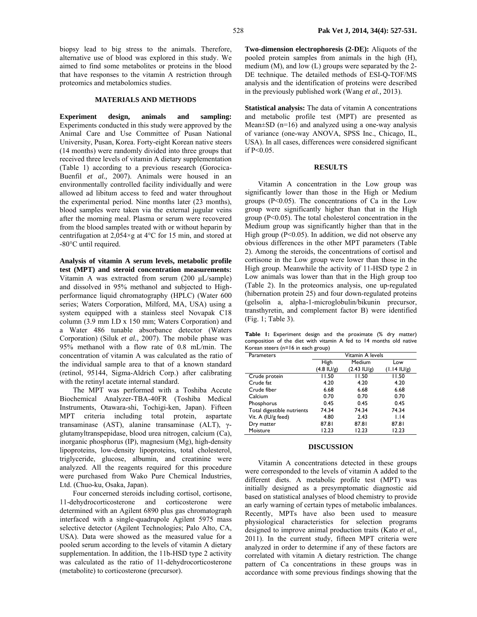biopsy lead to big stress to the animals. Therefore, alternative use of blood was explored in this study. We aimed to find some metabolites or proteins in the blood that have responses to the vitamin A restriction through proteomics and metabolomics studies.

### **MATERIALS AND METHODS**

**Experiment design, animals and sampling:**  Experiments conducted in this study were approved by the Animal Care and Use Committee of Pusan National University, Pusan, Korea. Forty-eight Korean native steers (14 months) were randomly divided into three groups that received three levels of vitamin A dietary supplementation (Table 1) according to a previous research (Gorocica-Buenfil *et al.,* 2007). Animals were housed in an environmentally controlled facility individually and were allowed ad libitum access to feed and water throughout the experimental period. Nine months later (23 months), blood samples were taken via the external jugular veins after the morning meal. Plasma or serum were recovered from the blood samples treated with or without heparin by centrifugation at  $2,054\times g$  at 4°C for 15 min, and stored at -80°C until required.

**Analysis of vitamin A serum levels, metabolic profile test (MPT) and steroid concentration measurements:**  Vitamin A was extracted from serum (200 µL/sample) and dissolved in 95% methanol and subjected to Highperformance liquid chromatography (HPLC) (Water 600 series; Waters Corporation, Milford, MA, USA) using a system equipped with a stainless steel Novapak C18 column (3.9 mm I.D x 150 mm; Waters Corporation) and a Water 486 tunable absorbance detector (Waters Corporation) (Siluk *et al.,* 2007). The mobile phase was 95% methanol with a flow rate of 0.8 mL/min. The concentration of vitamin A was calculated as the ratio of the individual sample area to that of a known standard (retinol, 95144, Sigma-Aldrich Corp.) after calibrating with the retinyl acetate internal standard.

The MPT was performed with a Toshiba Accute Biochemical Analyzer-TBA-40FR (Toshiba Medical Instruments, Otawara-shi, Tochigi-ken, Japan). Fifteen MPT criteria including total protein, aspartate transaminase (AST), alanine transaminase (ALT), γglutamyltranspepidase, blood urea nitrogen, calcium (Ca), inorganic phosphorus (IP), magnesium (Mg), high-density lipoproteins, low-density lipoproteins, total cholesterol, triglyceride, glucose, albumin, and creatinine were analyzed. All the reagents required for this procedure were purchased from Wako Pure Chemical Industries, Ltd. (Chuo-ku, Osaka, Japan).

Four concerned steroids including cortisol, cortisone, 11-dehydrocorticosterone and corticosterone were determined with an Agilent 6890 plus gas chromatograph interfaced with a single-quadrupole Agilent 5975 mass selective detector (Agilent Technologies; Palo Alto, CA, USA). Data were showed as the measured value for a pooled serum according to the levels of vitamin A dietary supplementation. In addition, the 11b-HSD type 2 activity was calculated as the ratio of 11-dehydrocorticosterone (metabolite) to corticosterone (precursor).

**Two-dimension electrophoresis (2-DE):** Aliquots of the pooled protein samples from animals in the high (H), medium (M), and low (L) groups were separated by the 2- DE technique. The detailed methods of ESI-Q-TOF/MS analysis and the identification of proteins were described in the previously published work (Wang *et al.,* 2013).

**Statistical analysis:** The data of vitamin A concentrations and metabolic profile test (MPT) are presented as Mean $\pm$ SD (n=16) and analyzed using a one-way analysis of variance (one-way ANOVA, SPSS Inc., Chicago, IL, USA). In all cases, differences were considered significant if P<0.05.

## **RESULTS**

Vitamin A concentration in the Low group was significantly lower than those in the High or Medium groups  $(P<0.05)$ . The concentrations of Ca in the Low group were significantly higher than that in the High group (P<0.05). The total cholesterol concentration in the Medium group was significantly higher than that in the High group ( $P<0.05$ ). In addition, we did not observe any obvious differences in the other MPT parameters (Table 2). Among the steroids, the concentrations of cortisol and cortisone in the Low group were lower than those in the High group. Meanwhile the activity of 11-HSD type 2 in Low animals was lower than that in the High group too (Table 2). In the proteomics analysis, one up-regulated (hibernation protein 25) and four down-regulated proteins (gelsolin a, alpha-1-microglobulin/bikunin precursor, transthyretin, and complement factor B) were identified (Fig. 1; Table 3).

**Table 1:** Experiment design and the proximate (% dry matter) composition of the diet with vitamin A fed to 14 months old native Korean steers (n=16 in each group)

| Parameters                 |                      | Vitamin A levels      |                       |
|----------------------------|----------------------|-----------------------|-----------------------|
|                            | High                 | Medium                | Low                   |
|                            | $(4.8 \text{ IU/g})$ | $(2.43 \text{ IU/g})$ | $(1.14 \text{ IU/g})$ |
| Crude protein              | 11.50                | 11.50                 | 11.50                 |
| Crude fat                  | 4.20                 | 4.20                  | 4.20                  |
| Crude fiber                | 6.68                 | 6.68                  | 6.68                  |
| Calcium                    | 0.70                 | 0.70                  | 0.70                  |
| Phosphorus                 | 0.45                 | 0.45                  | 0.45                  |
| Total digestible nutrients | 74.34                | 74.34                 | 74.34                 |
| Vit. A (IU/g feed)         | 4.80                 | 2.43                  | 1.14                  |
| Dry matter                 | 87.81                | 87.81                 | 87.81                 |
| Moisture                   | 12.23                | 12.23                 | 12.23                 |

### **DISCUSSION**

Vitamin A concentrations detected in these groups were corresponded to the levels of vitamin A added to the different diets. A metabolic profile test (MPT) was initially designed as a presymptomatic diagnostic aid based on statistical analyses of blood chemistry to provide an early warning of certain types of metabolic imbalances. Recently, MPTs have also been used to measure physiological characteristics for selection programs designed to improve animal production traits (Kato *et al.,* 2011). In the current study, fifteen MPT criteria were analyzed in order to determine if any of these factors are correlated with vitamin A dietary restriction. The change pattern of Ca concentrations in these groups was in accordance with some previous findings showing that the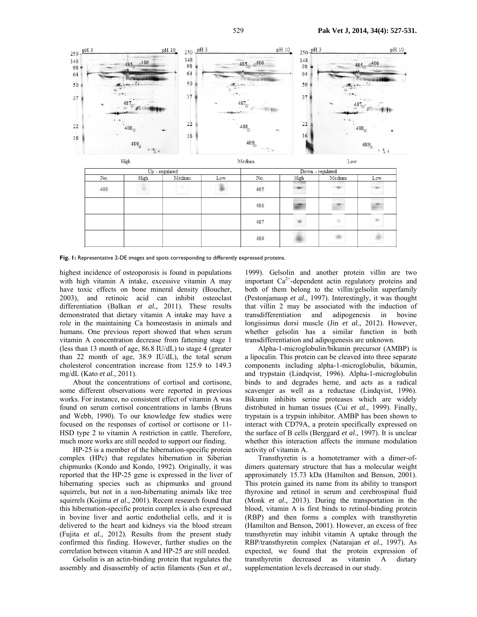

Fig. 1: Representative 2-DE images and spots corresponding to differently expressed proteins.

highest incidence of osteoporosis is found in populations with high vitamin A intake, excessive vitamin A may have toxic effects on bone mineral density (Boucher, 2003), and retinoic acid can inhibit osteoclast differentiation (Balkan *et al.,* 2011). These results demonstrated that dietary vitamin A intake may have a role in the maintaining Ca homeostasis in animals and humans. One previous report showed that when serum vitamin A concentration decrease from fattening stage 1 (less than 13 month of age, 86.8 IU/dL) to stage 4 (greater than 22 month of age, 38.9 IU/dL), the total serum cholesterol concentration increase from 125.9 to 149.3 mg/dL (Kato *et al.,* 2011).

About the concentrations of cortisol and cortisone, some different observations were reported in previous works. For instance, no consistent effect of vitamin A was found on serum cortisol concentrations in lambs (Bruns and Webb, 1990). To our knowledge few studies were focused on the responses of cortisol or cortisone or 11- HSD type 2 to vitamin A restriction in cattle. Therefore, much more works are still needed to support our finding.

HP-25 is a member of the hibernation-specific protein complex (HPc) that regulates hibernation in Siberian chipmunks (Kondo and Kondo, 1992). Originally, it was reported that the HP-25 gene is expressed in the liver of hibernating species such as chipmunks and ground squirrels, but not in a non-hibernating animals like tree squirrels (Kojima *et al.,* 2001). Recent research found that this hibernation-specific protein complex is also expressed in bovine liver and aortic endothelial cells, and it is delivered to the heart and kidneys via the blood stream (Fujita *et al.,* 2012). Results from the present study confirmed this finding. However, further studies on the correlation between vitamin A and HP-25 are still needed.

Gelsolin is an actin-binding protein that regulates the assembly and disassembly of actin filaments (Sun *et al.,* 

1999). Gelsolin and another protein villin are two important  $Ca^{2+}$ -dependent actin regulatory proteins and both of them belong to the villin/gelsolin superfamily (Pestonjamasp *et al.,* 1997). Interestingly, it was thought that villin 2 may be associated with the induction of transdifferentiation and adipogenesis in bovine transdifferentiation and adipogenesis in bovine longissimus dorsi muscle (Jin *et al.,* 2012). However, whether gelsolin has a similar function in both transdifferentiation and adipogenesis are unknown.

Alpha-1-microglobulin/bikunin precursor (AMBP) is a lipocalin. This protein can be cleaved into three separate components including alpha-1-microglobulin, bikumin, and trypstain (Lindqvist, 1996). Alpha-1-microglobulin binds to and degrades heme, and acts as a radical scavenger as well as a reductase (Lindqvist, 1996). Bikunin inhibits serine proteases which are widely distributed in human tissues (Cui *et al.,* 1999). Finally, trypstain is a trypsin inhibitor. AMBP has been shown to interact with CD79A, a protein specifically expressed on the surface of B cells (Berggard *et al.,* 1997). It is unclear whether this interaction affects the immune modulation activity of vitamin A.

Transthyretin is a homotetramer with a dimer-ofdimers quaternary structure that has a molecular weight approximately 15.73 kDa (Hamilton and Benson, 2001). This protein gained its name from its ability to transport thyroxine and retinol in serum and cerebrospinal fluid (Monk *et al.,* 2013). During the transportation in the blood, vitamin A is first binds to retinol-binding protein (RBP) and then forms a complex with transthyretin (Hamilton and Benson, 2001). However, an excess of free transthyretin may inhibit vitamin A uptake through the RBP/transthyretin complex (Natarajan *et al.,* 1997). As expected, we found that the protein expression of transthyretin decreased as vitamin A dietary supplementation levels decreased in our study.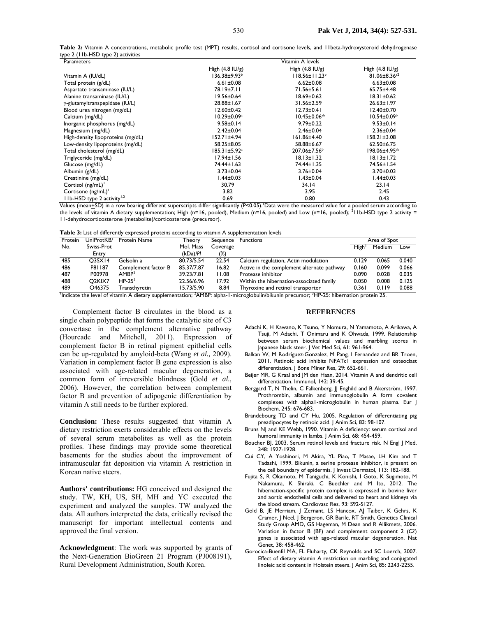**Table 2:** Vitamin A concentrations, metabolic profile test (MPT) results, cortisol and cortisone levels, and 11beta-hydroxysteroid dehydrogenase type 2 (11b-HSD type 2) activities

| Parameters                                | Vitamin A levels          |                           |                                |  |  |  |
|-------------------------------------------|---------------------------|---------------------------|--------------------------------|--|--|--|
|                                           | High $(4.8 \text{ IU/g})$ | High $(4.8 \text{ IU/g})$ | High $(4.8 \text{ IU/g})$      |  |  |  |
| Vitamin A (IU/dL)                         | 136.38±9.93 <sup>b</sup>  | $118.56 \pm 11.23^b$      | 81.06 $\pm$ 8.36 <sup>a2</sup> |  |  |  |
| Total protein (g/dL)                      | $6.61 \pm 0.08$           | $6.62 \pm 0.08$           | $6.63 \pm 0.08$                |  |  |  |
| Aspartate transaminase (IU/L)             | 78.19±7.11                | 71.56±5.61                | $65.75 \pm 4.48$               |  |  |  |
| Alanine transaminase (IU/L)               | $19.56 \pm 0.64$          | $18.69 \pm 0.62$          | $18.31 \pm 0.62$               |  |  |  |
| γ-glutamyltranspepidase (IU/L)            | 28.88±1.67                | 31.56±2.59                | $26.63 \pm 1.97$               |  |  |  |
| Blood urea nitrogen (mg/dL)               | $12.60 \pm 0.42$          | $12.73 \pm 0.41$          | $12.40 \pm 0.70$               |  |  |  |
| Calcium (mg/dL)                           | $10.29 \pm 0.09^a$        | $10.45 \pm 0.06^{ab}$     | $10.54 \pm 0.09^{\circ}$       |  |  |  |
| Inorganic phosphorus (mg/dL)              | $9.58 \pm 0.14$           | $9.79 \pm 0.22$           | $9.53 \pm 0.14$                |  |  |  |
| Magnesium (mg/dL)                         | $2.42 \pm 0.04$           | $2.46 \pm 0.04$           | $2.36 \pm 0.04$                |  |  |  |
| High-density lipoproteins (mg/dL)         | 152.71±4.94               | 161.86±4.40               | $158.21 \pm 3.08$              |  |  |  |
| Low-density lipoproteins (mg/dL)          | 58.25±8.05                | 58.88±6.67                | $62.50 \pm 6.75$               |  |  |  |
| Total cholesterol (mg/dL)                 | 185.31±5.92ª              | 207.06±7.56 <sup>b</sup>  | 198.06±4.95ªb                  |  |  |  |
| Triglyceride (mg/dL)                      | $17.94 \pm 1.56$          | $18.13 \pm 1.32$          | $18.13 \pm 1.72$               |  |  |  |
| Glucose (mg/dL)                           | 74.44±1.63                | 74.44±1.35                | 74.56±1.54                     |  |  |  |
| Albumin (g/dL)                            | $3.73 \pm 0.04$           | $3.76 \pm 0.04$           | $3.70 \pm 0.03$                |  |  |  |
| Creatinine (mg/dL)                        | 1.44±0.03                 | A3±0.04                   | 1.44±0.03                      |  |  |  |
| Cortisol $(ng/mL)^{1}$                    | 30.79                     | 34.14                     | 23.14                          |  |  |  |
| Cortisone $(ng/mL)^{T}$                   | 3.82                      | 3.95                      | 2.45                           |  |  |  |
| $11b$ -HSD type 2 activity <sup>1,2</sup> | 0.69                      | 0.80                      | 0.43                           |  |  |  |

Values (mean+SD) in a row bearing different superscripts differ significantly (P<0.05). Data were the measured value for a pooled serum according to the levels of vitamin A dietary supplementation; High (n=16, pooled), Medium (n=16, pooled) and Low (n=16, pooled); <sup>2</sup>11b-HSD type 2 activity = 11-dehydrocorticosterone (metabolite)/corticosterone (precursor).

**Table 3:** List of differently expressed proteins according to vitamin A supplementation levels

| <b>Express English and Charles Copyrights and proteins according to mainment supplementation ich city</b> |                                 |                     |            |          |                                            |              |                     |       |  |  |
|-----------------------------------------------------------------------------------------------------------|---------------------------------|---------------------|------------|----------|--------------------------------------------|--------------|---------------------|-------|--|--|
| Protein                                                                                                   | UniProtKB/                      | <b>Protein Name</b> | Theory     | Sequence | <b>Functions</b>                           | Area of Spot |                     |       |  |  |
| No.                                                                                                       | Swiss-Prot                      |                     | Mol. Mass  | Coverage |                                            | High         | Medium <sup>1</sup> | Low'  |  |  |
|                                                                                                           | Entry                           |                     | (kDa)/Pl   | (%)      |                                            |              |                     |       |  |  |
| 485                                                                                                       | O <sub>3</sub> S <sub>X14</sub> | Gelsolin a          | 80.73/5.54 | 22.54    | Calcium regulation, Actin modulation       | 0.129        | 0.065               | 0.040 |  |  |
| 486                                                                                                       | P81187                          | Complement factor B | 85.37/7.87 | 16.82    | Active in the complement alternate pathway | 0.160        | 0.099               | 0.066 |  |  |
| 487                                                                                                       | P00978                          | AMBP <sup>2</sup>   | 39.23/7.81 | 11.08    | Protease inhibitor                         | 0.090        | 0.028               | 0.035 |  |  |
| 488                                                                                                       | O <sub>2</sub> KIX <sub>7</sub> | $HP-253$            | 22.56/6.96 | 17.92    | Within the hibernation-associated family   | 0.050        | 0.008               | 0.125 |  |  |
| 489                                                                                                       | O46375                          | Transthvretin       | 15.73/5.90 | 8.84     | Thyroxine and retinol transporter          | 0.361        | 0.119               | 0.088 |  |  |
| $\overline{\phantom{a}}$                                                                                  |                                 |                     | .          |          | . ._ _ _                                   |              |                     |       |  |  |

<sup>1</sup>Indicate the level of vitamin A dietary supplementation; <sup>2</sup>AMBP: alpha-1-microglobulin/bikunin precursor; <sup>3</sup>HP-25: hibernation protein 25.

Complement factor B circulates in the blood as a single chain polypeptide that forms the catalytic site of C3 convertase in the complement alternative pathway (Hourcade and Mitchell, 2011). Expression of complement factor B in retinal pigment epithelial cells can be up-regulated by amyloid-beta (Wang *et al.,* 2009). Variation in complement factor B gene expression is also associated with age-related macular degeneration, a common form of irreversible blindness (Gold *et al.,* 2006). However, the correlation between complement factor B and prevention of adipogenic differentiation by vitamin A still needs to be further explored.

**Conclusion:** These results suggested that vitamin A dietary restriction exerts considerable effects on the levels of several serum metabolites as well as the protein profiles. These findings may provide some theoretical basements for the studies about the improvement of intramuscular fat deposition via vitamin A restriction in Korean native steers.

**Authors' contributions:** HG conceived and designed the study. TW, KH, US, SH, MH and YC executed the experiment and analyzed the samples. TW analyzed the data. All authors interpreted the data, critically revised the manuscript for important intellectual contents and approved the final version.

**Acknowledgment**: The work was supported by grants of the Next-Generation BioGreen 21 Program (PJ008191), Rural Development Administration, South Korea.

#### **REFERENCES**

- Adachi K, H Kawano, K Tsuno, Y Nomura, N Yamamoto, A Arikawa, A Tsuji, M Adachi, T Onimaru and K Ohwada, 1999. Relationship between serum biochemical values and marbling scores in Japanese black steer. J Vet Med Sci, 61: 961-964.
- Balkan W, M Rodríguez-Gonzalez, M Pang, I Fernandez and BR Troen, 2011. Retinoic acid inhibits NFATc1 expression and osteoclast differentiation. J Bone Miner Res, 29: 652-661.
- Beijer MR, G Kraal and JM den Haan, 2014. Vitamin A and dendritic cell differentiation. Immunol, 142: 39-45.
- Berggard T, N Thelin, C Falkenberg, JJ Enghild and B Akerström, 1997. Prothrombin, albumin and immunoglobulin A form covalent complexes with alpha1-microglobulin in human plasma. Eur J Biochem, 245: 676-683.
- Brandebourg TD and CY Hu, 2005. Regulation of differentiating pig preadipocytes by retinoic acid. J Anim Sci, 83: 98-107.
- Bruns NJ and KE Webb, 1990. Vitamin A deficiency: serum cortisol and humoral immunity in lambs. J Anim Sci, 68: 454-459.
- Boucher BJ, 2003. Serum retinol levels and fracture risk. N Engl | Med, 348: 1927-1928.
- Cui CY, A Yoshinori, M Akira, YL Piao, T Masae, LH Kim and T Tadashi, 1999. Bikunin, a serine protease inhibitor, is present on the cell boundary of epidermis. J Invest Dermatol, 113: 182-188.
- Fujita S, R Okamoto, M Taniguchi, K Konishi, I Goto, K Sugimoto, M Nakamura, K Shiraki, C Buechler and M Ito, 2012. The hibernation-specific protein complex is expressed in bovine liver and aortic endothelial cells and delivered to heart and kidneys via the blood stream. Cardiovasc Res, 93: S92-S127.
- Gold B, JE Merriam, J Zernant, LS Hancox, AJ Taiber, K Gehrs, K Cramer, J Neel, J Bergeron, GR Barile, RT Smith, Genetics Clinical Study Group AMD, GS Hageman, M Dean and R Allikmets, 2006. Variation in factor B (BF) and complement component 2 (*C2*) genes is associated with age-related macular degeneration. Nat Genet, 38: 458-462.
- Gorocica-Buenfil MA, FL Fluharty, CK Reynolds and SC Loerch, 2007. Effect of dietary vitamin A restriction on marbling and conjugated linoleic acid content in Holstein steers. J Anim Sci, 85: 2243-2255.